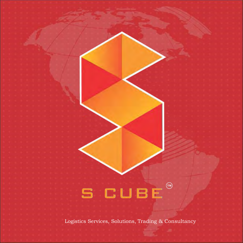

Logistics Services, Solutions, Trading & Consultancy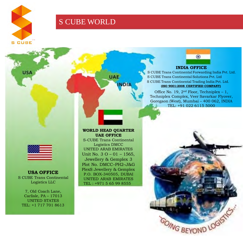

**USA** 

# S CUBE WORLD



## **INDIA OFFICE**

S CUBE Trans Continental Forwarding India Pvt. Ltd. S CUBE Trans Continental Solutions Pvt. Ltd S CUBE Trans Continental Trading India Pvt. Ltd. **(ISO 9001:2008 CERTIFIED COMPANY)**

Office No. 19,  $2<sup>nd</sup>$  Floor, Techniplex – 1, Techniplex Complex, Veer Savarkar Flyover, Goregaon (West), Mumbai – 400 062, INDIA TEL: +91 022 6115 5000



**USA OFFICE** S CUBE Trans Continental Logistics LLC

7, Old Coach Lane, Carlisle, PA – 17013 UNITED STATES TEL: +1 717 701 8613

## **WORLD HEAD QUARTER UAE OFFICE**

**UAE** 

NDD

S-CUBE Trans Continental Logistics DMCC UNITED ARAB EMIRATES Unit No. 3 O – 01 – 1565, Jewellery & Gemplex 3 Plot No. DMCC–PH2–J&G PlexS Jewellery & Gemplex P.O. BOX-340505, DUBAI UNITED ARAB EMIRATES TEL : +971 5 65 99 8555

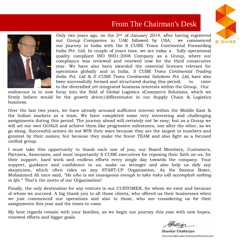# From The Chairman's Desk



Only two years ago, on the  $2<sup>nd</sup>$  of January 2014, after having registered our Group Companies in UAE followed by USA; we commenced our journey in India with the S CUBE Trans Continental Forwarding India Pvt. Ltd. In couple of years time, we are today a fully operational quality compliant ISO 9001:2008 Company as a Group, where our compliance was reviewed and renewed now for the third consecutive year. We have also been awarded the essential licenses relevant for operations globally and in India. *S CUBE Trans Continental Trading India Pvt. Ltd* & *S CUBE Trans Continental Solutions Pvt. Ltd*, have also been successfully formed and structured during this period, to cater to the diversified yet integrated business interests within the Group. Our

endeavour is to now foray into the field of Global Logistics eCommerce Solutions, which we firmly believe would be the growth driver/differentiator in our Supply Chain & Logistics business.

Over the last two years, we have already aroused sufficient interest within the Middle East & the Indian markets as a team. We have completed some very interesting and challenging assignments during this period. The journey ahead will certainly not be easy; but as a Group we will set our own GOALS and achieve them like progressive milestones, one after the other, as we go along. Successful armies do not WIN their wars because they are the largest in numbers and greatest by their names; but because they make the finest TEAM and also fight as a focused unified group.

I must take this opportunity to thank each one of you; our Board Members, Customers, Partners, Associates, and most importantly S CUBE executives for reposing their faith on us, for their support, hard work and endless efforts every single day towards the company. Your support, guidance and confidence in us, make us stronger and also help us defy any skepticism, which often rides on any START-UP Organisation. As the famous Boxer, Mohammed Ali once said, *"He who is not courageous enough to take risks will accomplish nothing in life."* That's the motto of our Organisation!

Finally, the only destination for any venture is our CUSTOMER, for whom we exist and because of whom we succeed. A big thank you to all those clients, who offered us their businesses when we just commenced our operations and also to those, who are considering us for their assignments this year and the times to come.

My best regards remain with your families, as we begin our journey this year with new hopes, renewed efforts and bigger goals.



**Shankar Chatterjee** chairman@scube-transcontinental.com

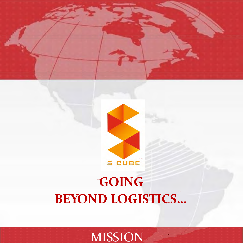



# **™ GOING ™ BEYOND LOGISTICS…**

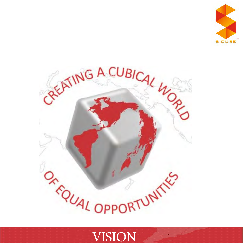



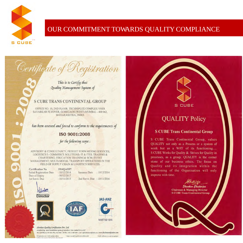

# OUR COMMITMENT TOWARDS QUALITY COMPLIANCE

This is to Certify that Quality Management System of

Certificate of Registration

## **S CURE TRANS CONTINENTAL GROUP**

OFFICE NO. 19, 2ND FLOOR, TECHNIPLEX COMPLEX VEER SAVARKAR FLYOVER, GOREGAON (WEST) MUMBAI - 400 062, MAHARASHTRA, INDIA

has been assessed and found to conform to the requirements of

## ISO 9001:2008

for the following scope:

ADVISORY & CONSULTANCY; FREIGHT FORWARDING SERVICES; LOGISTICS E- COMMERCE SOLUTIONS- IT & ITES; TRADING & CHARTERING: EDUCATION TRAINING& SCM: EVENT MANAGEMENT; MULTI-MODAL TRANSPORT OPERATIONS IN THE FIELD OF SUPPLY CHAIN & LOGISTICS SERVICES.

**Certification No** Initial Registration Date : 10/12/2014 Date of Expiry 1st Surve. Due

19001

1014OAO97  $:09/12/2017$  $: 10/11/2015$ 

Issuance Date : 10/12/2014 2nd Surve. Due : 10/11/2016



**Director** 







M4570910IN

Absolute Quality Certification Pvt. Ltd. Accredited Bu: Joint Accreditation System of Australia & New Zealand (JAS-ANZ) i - 110 010 | + 01 11 4105 1139 | e-mail - infa@

oww.absolutecertification.com

**S CUBE** 

# **QUALITY Policy**

## **S CUBE Trans Continental Group**

S CUBE Trans Continental Group, values QUALITY not only as a Process or a system of work but as a WAY of its functioning.... S CUBE Works for Quality & Strives for Quality in processes, as a group. QUALITY is the corner stone of our business ethics. The focus on Quality and its integration within the functioning of the Organisation will only improve with time.

> allenju Shankar Chatterjee **Chairman & Managing Director S CUBE Trans Continental Group**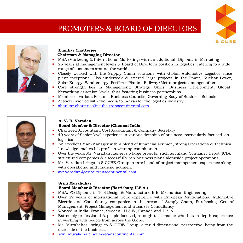# PROMOTERS & BOARD OF DIRECTORS





## **Shankar Chatterjee Chairman & Managing Director**

- MBA (Marketing & International Marketing) with an additional Diploma in Marketing
- 26 years at management levels & Board of Director's position in logistics, catering to a wide range of customers around the world.
	- Closely worked with the Supply Chain solutions with Global Automotive Logistics since plant inceptions. Also undertook & steered large projects in the Power, Nuclear Power, Solar Energy, Wind energy, Fertilizer Plants , Railway/Metro projects amongst others
	- Core strength lies in Management, Strategic Skills, Business Development, Global Networking at senior levels, thus fostering business partnerships
	- Member of various Forums, Business Councils, Governing Body of Business Schools
- Actively involved with the media to canvas for the logistics industry
- [shankar.chatterjee@scube-transcontinental.com](mailto:shankar.chatterjee@scube-transcontinental.com)



## **A. V. R. Varadan Board Member & Director (Chennai-India)**

- Chartered Accountant, Cost Accountant & Company Secretary
- 40 years of Senior level experience in various domains of business, particularly focused on logistics
- An excellent Man-Manager with a blend of Financial acumen, strong Operations & Technical knowledge makes his profile a winning combination
- Over the years Mr. Varadan has set up large projects, such as Inland Container Depot (ICD), structured companies & successfully ran business plans alongside project operations
- Mr. Varadan brings to S CUBE Group, a rare blend of project management experience along with operational and financial acumen.
- [avr.varadan@scube-transcontinental.com](mailto:avr.varadan@scube-transcontinental.com)



## **Srini Muralidhar**

## **Board Member & Director (Harrisburg-U.S.A.)**

- MBA; PG Diploma in Tool Design & Manufacture; B.E. Mechanical Engineering
- Over 29 years of international work experience with European Multi-national Automotive, Electric and Consultancy companies in the areas of Supply Chain, Purchasing, General Management, Project Management and Business Consultancy .
- Worked in India, France, Sweden, U.A.E., Canada and U.S.A.
- Extremely professional & people focused, a tough-task master who has in-depth experience in working with people from across the Globe.
- Mr. Muralidhar brings to S CUBE Group, a multi-dimensional perspective, being from the user side of the business.
- [srini.muralidhar@scube-transcontinental.com](mailto:srini.muralidhar@scube-transcontinental.com)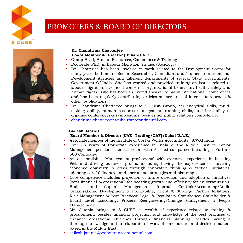

# PROMOTERS & BOARD OF DIRECTORS



## **Dr. Chandrima Chatterjee Board Member & Director (Dubai-U.A.E.)**

- Group Head, Human Resources, Conferences & Training
- Doctorate (PhD) in Labour Migration Studies (Sociology)
- Dr. Chatterjee has been involved in work related to the Development Sector for many years both as a Senior Researcher, Consultant and Trainer to International Development Agencies and different departments of several State Governments, Government Of India. She has worked and provided training on issues related to labour migration, livelihood concerns, organizational behaviour, health, safety and human rights. She has been an invited speaker to many international conferences and has been regularly contributing articles on her area of interest to journals & other publications.
- Dr. Chandrima Chatterjee brings to S CUBE Group, her analytical skills, multitasking ability, human resource management, training skills, and her ability to organise conferences & symposiums, besides her public relations competence.
- [chandrima.chatterjee@scube-transcontinental.com](mailto:chandrima.chatterjee@scube-transcontinental.com)

## **Sailesh Jatania Board Member & Director (UAE- Trading/C&F) (Dubai-U.A.E.)**

- Associate member of the Institute of Cost & Works Accountants (ICWA) India
- Over 35 years of Corporate experience in India & the Middle East in Senior Management positions, across sectors with A-listed companies including a Fortune 500 Company.
- An accomplished Management professional with extensive experience in boosting P&L and driving business profits, including having the experience of surviving economic downturn & crisis through innovative thinking & tactical initiatives, adopting careful financial and operational strategies and planning.
- Core competence includes projection of future direction and adoption of initiatives (both financial & operational) for boosting growth and efficiency for an organization; Budget and Capital Management; Internal Controls/Accounting/Audit; Organisational Development & Profitability, Client & Strategic Partner Relations; Risk Management & Best Practices; Legal & Regulatory Compliance; Stakeholder & Board Level Liaisoning; Process Reengineering/Change Management & People Management
- Mr. Jatania brings to S CUBE, a wealth of experience related to trading & procurement, besides financial projection and knowledge of the best practices to enhance operational efficiency through financial planning, besides having a thorough knowledge and an elaborate network of stakeholders and decision-makers based in the Middle East.
- [sailesh.jatania@scube-transcontinental.com](mailto:sailesh.jatania@scube-transcontinental.com)

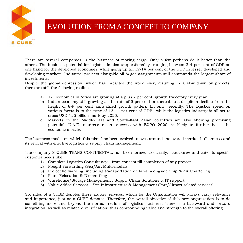

# EVOLUTION FROM ACONCEPT TO COMPANY

There are several companies in the business of moving cargo. Only a few perhaps do it better than the others. The business potential for logistics is also unquestionably ranging between 3-4 per cent of GDP on one hand for the developed economies, while going up till 12-14 per cent of the GDP in lesser developed and developing markets. Industrial projects alongside oil & gas assignments still commands the largest share of investments.

Despite the global depression, which has impacted the world over, resulting in a slow down on projects; there are still the following realities:

- a) 17 Economies in Africa are growing at a plus 7 per cent growth trajectory every year.
- b) Indian economy still growing at the rate of 5 per cent or thereabouts despite a decline from the height of 8-9 per cent annualized growth pattern till only recently. The logistics spend on various facets is to the tune of 13-14 per cent of GDP., while the logistics industry is all set to cross USD 125 billion mark by 2020.
- c) Markets in the Middle-East and South-East Asian countries are also showing promising potential. U.A.E. market's recent success with EXPO 2020, is likely to further boost the economic morale.

The business model on which this plan has been evolved, moves around the overall market bullishness and its revival with effective logistics & supply chain management.

The company S CUBE TRANS CONTINENTAL, has been formed to classify, customize and cater to specific customer needs like;

- 1) Complete Logistics Consultancy from concept till completion of any project
- 2) Freight Forwarding (Sea/Air/Multi-modal)
- 3) Project Forwarding, including transportation on land, alongside Ship & Air Chartering
- 4) Plant Relocation & Dismantling
- 5) Warehouse/Storage Management , Supply Chain Solutions & IT support
- 6) Value Added Services Site Infrastructure & Management (Port/Airport related services)

Six sides of a CUBE denotes these six key services, which for the Organization will always carry relevance and importance, just as a CUBE denotes. Therefore, the overall objective of this new organization is to do something more and beyond the normal realms of logistics business. There is a backward and forward integration, as well as related diversification; thus compounding value and strength to the overall offering.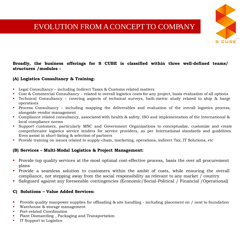# EVOLUTION FROM ACONCEPT TO COMPANY



## **Broadly, the business offerings for S CUBE is classified within three well-defined teams/ structures /modules :**

## **(A) Logistics Consultancy & Training:**

- Legal Consultancy including Indirect Taxes & Customs related matters
- Cost & Commercial Consultancy related to overall logistics costs for any project, basis evaluation of all options
- Technical Consultancy covering aspects of technical surveys, bath-metric study related to ship & barge operations
- Process Consultancy including mapping the deliverables and evaluation of the overall logistics process, alongside vendor management
- Compliance related consultancy, associated with health & safety, ISO and implementation of the International & local compliance norms
- Support customers, particularly MNC and Government Organizations to conceptualize, customize and create comprehensive logistics service tenders for service providers, as per International standards and guidelines. Even assist in short-listing & selection of partners
- Provide training on issues related to supply-chain, marketing, operations, indirect Tax, IT Solutions, etc

## **(B) Services – Multi-Modal Logistics & Project Management:**

- Provide top quality services at the most optimal cost-effective process, basis the over all procurement plans
- Provide a seamless solution to customers within the ambit of costs, while ensuring the overall compliance, not stepping away from the social responsibility as relevant to any market / country
- Safeguard against any foreseeable contingencies (Economic/Social-Political / Financial /Operational)

## **C) Solutions – Value Added Services:**

- **Provide quality manpower supplies for offloading & site handling including placement on / next to foundation**
- **Warehouse & storagement**
- Port-related Coordination
- Plant Dismantling , Packaging and Transportation
- IT Support in Logistics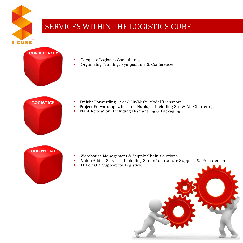

# SERVICES WITHIN THE LOGISTICS CUBE



- Complete Logistics Consultancy
- Organising Training, Symposiums & Conferences

# **LOGISTICS**

- Freight Forwarding Sea/ Air/Multi-Modal Transport
- **Project Forwarding & In-Land Haulage, Including Sea & Air Chartering**
- Plant Relocation, Including Dismantling & Packaging



- Warehouse Management & Supply Chain Solutions
- Value Added Services, Including Site Infrastructure Supplies & Procurement
- **IT Portal / Support for Logistics.**

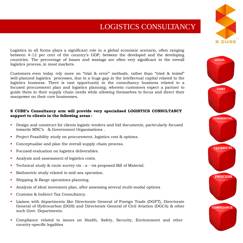# LOGISTICS CONSULTANCY

Logistics in all forms plays a significant role in a global economic scenario, often ranging between 4-12 per cent of the country's GDP, between the developed and the developing countries. The percentage of losses and wastage are often very significant in the overall logistics process, in most markets.

Customers even today rely more on "trial & error" methods, rather than "tried & tested" well-planned logistics processes, due to a huge gap in the intellectual capital related to the logistics business. There is vast opportunity in the consultancy business related to a focused procurement plan and logistics planning; wherein customers expect a partner to guide them in their supply chain needs while allowing themselves to focus and direct their manpower on their core businesses.

## **S CUBE's Consultancy arm will provide very specialised LOGISTICS CONSULTANCY support to clients in the following areas :**

- Design and construct for clients logistic tenders and bid documents, particularly focused towards MNC's & Government Organisations .
- Project Feasibility study on procurement, logistics cost & options.
- Conceptualise and plan the overall supply chain process.
- **Focused evaluation on logistics deliverables.**
- Analysis and assessment of logistics costs.
- Technical study & route survey vis a vis proposed Bill of Material.
- Bathmetric study related to mid-sea operation.
- Shipping & Barge operations planning.
- Analysis of ideal movement plan, after assessing several multi-modal options
- Customs & Indirect Tax Consultancy.
- Liaison with departments like Directorate General of Foreign Trade (DGFT), Directorate General of Hydrocarbon (DGH) and Directorate General of Civil Aviation (DGCA) & other such Govt. Departments.
- Compliance related to issues on Health, Safety, Security, Environment and other country-specific legalities



**™**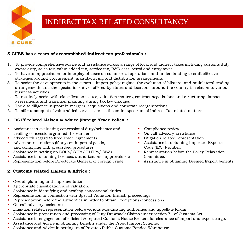

# INDIRECT TAX RELATED CONSULTANCY

## **S CUBE has a team of accomplished indirect tax professionals :**

- 1. To provide comprehensive advice and assistance across a range of local and indirect taxes including customs duty, excise duty, sales tax, value-added tax, service tax, R&D cess, octroi and entry taxes
- 2. To have an appreciation for interplay of taxes on commercial operations and understanding to craft effective strategies around procurement, manufacturing and distribution arrangements
- 3. To assist the developments in the export import policy regime, the evolution of bilateral and multilateral trading arrangements and the special incentives offered by states and locations around the country in relation to various business activities
- 4. To routinely assist with classification issues, valuation matters, contract negotiations and structuring, impact assessments and transition planning during tax law changes
- 5. The due diligence support in mergers, acquisitions and corporate reorganizations
- 6. To offer a bouquet of value added services across the entire spectrum of Indirect Tax related matters

## **1. DGFT related Liaison & Advice (Foreign Trade Policy) :**

- Assistance in evaluating concessional duty/schemes and availing concessions granted thereunder.
- Advice with regard to Free Trade Agreements
- Advice on restrictions (if any) on import of goods, and complying with prescribed procedures
- Assistance in setting up EOUs/ STPs/ EHTPs/ SEZs
- Assistance in obtaining licenses, authorizations, approvals etc
- Representation before Directorate General of Foreign Trade

## **2. Customs related Liaison & Advice :**

- Overall planning and implementation.
- Appropriate classification and valuation.
- Assistance in identifying and availing concessional duties.
- **Representation in connection with Special Valuation Branch proceedings.**
- Representation before the authorities in order to obtain exemptions/concessions.
- On call advisory assistance.
- Litigation related representation before various adjudicating authorities and appellate forum.
- Assistance in preparation and processing of Duty Drawback Claims under section 74 of Customs Act.
- Assistance in engagement of efficient & reputed Customs House Brokers for clearance of import and export cargo.
- Assistance and Advice in obtaining benefits under the Project Import Scheme.
- Assistance and Advice in setting up of Private /Public Customs Bonded Warehouse.
- Compliance review
- On call advisory assistance
- Litigation related representation
- Assistance in obtaining Importer- Exporter Code (IEC) Number.
- Representation before the Policy Relaxation Committee.
- Assistance in obtaining Deemed Export benefits.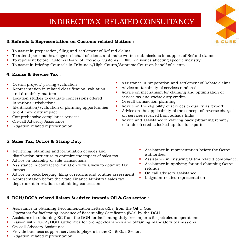# INDIRECT TAX RELATED CONSULTANCY



## **3. Refunds & Representation on Customs related Matters** :

- To assist in preparation, filing and settlement of Refund claims
- To attend personal hearings on behalf of clients and make written submissions in support of Refund claims
- To represent before Customs Board of Excise & Customs (CBEC) on issues affecting specific industry
- To assist in briefing Counsels in Tribunals/High Courts/Supreme Court on behalf of clients

## **4. Excise & Service Tax :**

- Overall project/ pricing evaluation
- Representation in related classification, valuation and dutiability matters
- **Location studies to evaluate concessions offered** in various jurisdictions
- Identification/evaluation of planning opportunities to optimize duty impact
- Comprehensive compliance services
- On-call Advisory Assistance
- **Litigation related representation**

## **5. Sales Tax, Octroi & Stamp Duty :**

- Reviewing, planning and formulation of sales and distribution structure to optimize the impact of sales tax
- Advice on taxability of sale transactions
- Assistance in contract formulation with a view to optimize tax impact
- Advice on book keeping, filing of returns and routine assessment
- Representation before the State Finance Ministry/ sales tax department in relation to obtaining concessions
- Assistance in preparation and settlement of Rebate claims
- Advice on taxability of services rendered
- Advice on mechanism for claiming and optimization of service tax and excise duty credits
- Overall transaction planning
- Advice on the eligibility of services to qualify as 'export'
- Advice on the applicability of the concept of 'reverse charge' on services received from outside India
- Advice and assistance in clawing back (obtaining rebate/ refunds of) credits locked up due to exports
	- Assistance in representation before the Octroi authorities.
	- Assistance in ensuring Octroi related compliance.
	- Assistance in applying for and obtaining Octroi refunds.
	- On call advisory assistance
	- Litigation related representation

## **6. DGH/DGCA related liaison & advice towards Oil & Gas sector :**

- Assistance in obtaining Recommendation Letters (RLs) from the Oil & Gas Operators for facilitating issuance of Essentiality Certificates (ECs) by the DGH
- Assistance in obtaining EC from the DGH for facilitating duty free imports for petroleum operations
- Liaison with DGCA/DGH authorities for prompt clearances and obtaining mandatory permissions
- On-call Advisory Assistance
- Provide business support services to players in the Oil & Gas Sector.
- Litigation related representation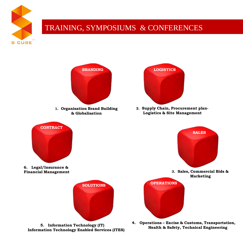

# TRAINING, SYMPOSIUMS & CONFERENCES



**Information Technology Enabled Services (ITES)**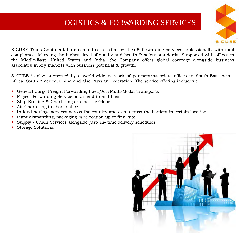# LOGISTICS & FORWARDING SERVICES



S CUBE Trans Continental are committed to offer logistics & forwarding services professionally with total compliance, following the highest level of quality and health & safety standards. Supported with offices in the Middle-East, United States and India, the Company offers global coverage alongside business associates in key markets with business potential & growth.

S CUBE is also supported by a world-wide network of partners/associate offices in South-East Asia, Africa, South America, China and also Russian Federation. The service offering includes :

- General Cargo Freight Forwarding ( Sea/Air/Multi-Modal Transport).
- **Project Forwarding Service on an end-to-end basis.**
- **Ship Broking & Chartering around the Globe.**
- **Air Chartering in short notice.**
- In-land haulage services across the country and even across the borders in certain locations.
- Plant dismantling, packaging & relocation up to final site.
- Supply Chain Services alongside just- in- time delivery schedules.
- Storage Solutions.

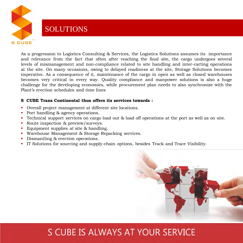

# SOLUTIONS

As a progression to Logistics Consulting & Services, the Logistics Solutions assumes its importance and relevance from the fact that often after reaching the final site, the cargo undergoes several levels of mismanagement and non-compliance related to site handling and inter-carting operations at the site. On many occasions, owing to delayed readiness at the site, Storage Solutions becomes imperative. As a consequence of it, maintenance of the cargo in open as well as closed warehouses becomes very critical in every way. Quality compliance and manpower solutions is also a huge challenge for the developing economies, while procurement plan needs to also synchronize with the Plant's erection schedules and time lines

## **S CUBE Trans Continental thus offers its services towards :**

- Overall project management at different site locations.
- Port handling & agency operations.
- Technical support services on cargo load out & load off operations at the port as well as on site.
- Route inspection & preview/surveys.
- Equipment supplies at site & handling.
- Warehouse Management & Storage Repacking services.
- Dismantling & erection operations.
- IT Solutions for sourcing and supply-chain options, besides Track and Trace Visibility.



# S CUBE IS ALWAYS AT YOUR SERVICE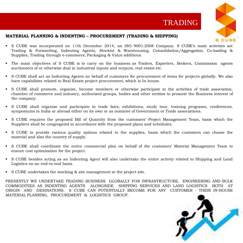



## **MATERIAL PLANNING & INDENTING – PROCUREMENT (TRADING & SHIPPING)**

- S CUBE was incorporated on 11th December 2014, an ISO 9001:2008 Company. S CUBE's main activities are Trading & Forwarding, Indenting Agents, Stockist & Warehousing, Consolidation/Aggregation, Co-loading & Supplies, Trading through e-commerce, Packaging & Value additions.
- The main objectives of S CUBE is to carry on the business as Traders, Exporters, Brokers, Commission agents auctioneers of or otherwise deal in industrial inputs and outputs, real estate etc.
- S CUBE shall act as Indenting Agents on behalf of customers for procurement of items for projects globally. We also have capabilities related to Real Estate project procurement, which is In-house.
- S CUBE shall promote, organize, become members or otherwise participate in the activities of trade association, chamber of commerce and industry, authorized groups, bodies and other entities to promote the Business interest of the company.
- S CUBE shall organize and participate in trade fairs, exhibitions, study tour, training programs, conferences, symposiums in India or abroad either on its own or as nominee of Government or Trade associations.
- S CUBE requires the proposed Bill of Quantity from the customers' Project Management Team, basis which the Suppliers shall be congregated in accordance with the proposed plans and schedules.
- S CUBE to provide various quality options related to the supplies, basis which the customers can choose the material and also the country of supply.
- S CUBE shall coordinate the entire commercial plan on behalf of the customers' Material Management Team to ensure cost optimization for the project.
- S CUBE besides acting as an Indenting Agent will also undertake the entire activity related to Shipping and Land Logistics on an end-to-end basis.
- S CUBE undertakes the stocking & site management at the project site.

PRESENTLY WE UNDERTAKE TRADING BUSINESS GLOBALLY FOR INFRASTRUCTURE, ENGINEERING AND BULK COMMODITIES AS INDENTING AGENTS ALONGSIDE SHIPPING SERVICES AND LAND LOGISTICS BOTH AT ORIGIN AND DESINATIONS. S CUBE CAN POTENTIALLY BECOME FOR ANY CUSTOMER - THEIR IN-HOUSE MATERIAL PLANNING, PROCUREMENT & LOGISTICS GROUP.

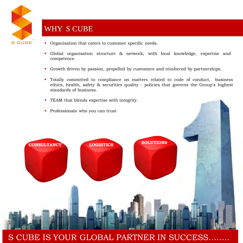

# WHY S CUBE

- Organisation that caters to customer specific needs.
- Global organisation structure & network, with local knowledge, expertise and competence.
- Growth driven by passion, propelled by customers and reinforced by partnerships.
- Totally committed to compliance on matters related to code of conduct, business ethics, health, safety & securities quality - policies that governs the Group's highest standards of business.
- TEAM that blends expertise with integrity.
- Professionals who you can trust



# S CUBE IS YOUR GLOBAL PARTNER IN SUCCESS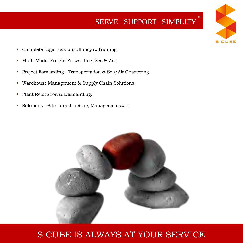# SERVE | SUPPORT | SIMPLIFY **™**

**™**

**CUBE** 

- **Complete Logistics Consultancy & Training.**
- Multi-Modal Freight Forwarding (Sea & Air).
- **Project Forwarding Transportation & Sea/Air Chartering.**
- Warehouse Management & Supply Chain Solutions.
- Plant Relocation & Dismantling.
- Solutions Site infrastructure, Management & IT



# S CUBE IS ALWAYS AT YOUR SERVICE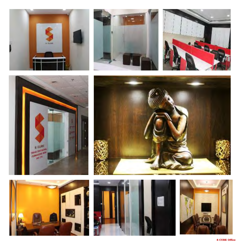